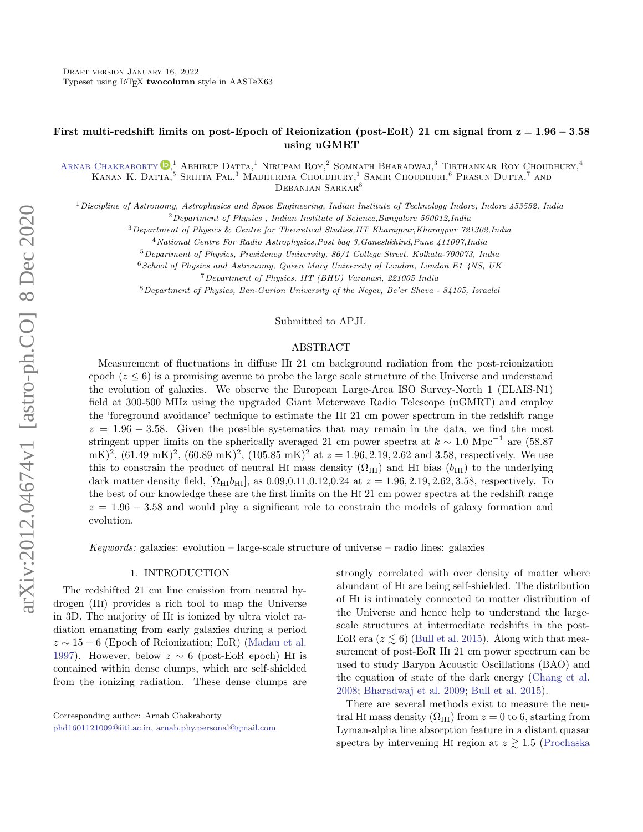## First multi-redshift limits on post-Epoch of Reionization (post-EoR) 21 cm signal from  $z = 1.96 - 3.58$ using uGMRT

ARNAB CHAKRABORTY <sup>(D<sub>1</sub><sup>1</sup></sub> Abhirup Datta,<sup>1</sup> Nirupam Roy,<sup>2</sup> Somnath Bharadwaj,<sup>3</sup> Tirthankar Roy Choudhury,<sup>4</sup></sup> KANAN K. DATTA, <sup>5</sup> SRIJITA PAL, <sup>3</sup> MADHURIMA CHOUDHURY, <sup>1</sup> SAMIR CHOUDHURI, <sup>6</sup> PRASUN DUTTA, <sup>7</sup> AND DEBANJAN SARKAR<sup>8</sup>

 $1$ Discipline of Astronomy, Astrophysics and Space Engineering, Indian Institute of Technology Indore, Indore 453552, India  $2$ Department of Physics, Indian Institute of Science, Bangalore 560012, India

<sup>3</sup>Department of Physics & Centre for Theoretical Studies,IIT Kharagpur,Kharagpur 721302,India

<sup>4</sup>National Centre For Radio Astrophysics,Post bag 3,Ganeshkhind,Pune 411007,India

<sup>5</sup>Department of Physics, Presidency University, 86/1 College Street, Kolkata-700073, India

 $6$  School of Physics and Astronomy, Queen Mary University of London, London E1 4NS, UK

<sup>7</sup>Department of Physics, IIT (BHU) Varanasi, 221005 India

<sup>8</sup>Department of Physics, Ben-Gurion University of the Negev, Be'er Sheva - 84105, Israelel

#### Submitted to APJL

#### ABSTRACT

Measurement of fluctuations in diffuse Hi 21 cm background radiation from the post-reionization epoch  $(z \leq 6)$  is a promising avenue to probe the large scale structure of the Universe and understand the evolution of galaxies. We observe the European Large-Area ISO Survey-North 1 (ELAIS-N1) field at 300-500 MHz using the upgraded Giant Meterwave Radio Telescope (uGMRT) and employ the 'foreground avoidance' technique to estimate the Hi 21 cm power spectrum in the redshift range  $z = 1.96 - 3.58$ . Given the possible systematics that may remain in the data, we find the most stringent upper limits on the spherically averaged 21 cm power spectra at  $k \sim 1.0 \text{ Mpc}^{-1}$  are (58.87  $(mK)^2$ ,  $(61.49 \text{ mK})^2$ ,  $(60.89 \text{ mK})^2$ ,  $(105.85 \text{ mK})^2$  at  $z = 1.96, 2.19, 2.62$  and 3.58, respectively. We use this to constrain the product of neutral HI mass density  $(\Omega_{\text{HI}})$  and HI bias  $(b_{\text{HI}})$  to the underlying dark matter density field,  $[\Omega_{\text{HI}}]_{\text{H}}$ , as 0.09,0.11,0.12,0.24 at  $z = 1.96, 2.19, 2.62, 3.58$ , respectively. To the best of our knowledge these are the first limits on the Hi 21 cm power spectra at the redshift range  $z = 1.96 - 3.58$  and would play a significant role to constrain the models of galaxy formation and evolution.

Keywords: galaxies: evolution – large-scale structure of universe – radio lines: galaxies

#### 1. INTRODUCTION

The redshifted 21 cm line emission from neutral hydrogen (Hi) provides a rich tool to map the Universe in 3D. The majority of Hi is ionized by ultra violet radiation emanating from early galaxies during a period  $z \sim 15-6$  (Epoch of Reionization; EoR) [\(Madau et al.](#page-5-0) [1997\)](#page-5-0). However, below  $z \sim 6$  (post-EoR epoch) H<sub>i</sub> is contained within dense clumps, which are self-shielded from the ionizing radiation. These dense clumps are

strongly correlated with over density of matter where abundant of Hi are being self-shielded. The distribution of Hi is intimately connected to matter distribution of the Universe and hence help to understand the largescale structures at intermediate redshifts in the post-EoR era ( $z \lesssim 6$ ) [\(Bull et al.](#page-5-1) [2015\)](#page-5-1). Along with that measurement of post-EoR Hi 21 cm power spectrum can be used to study Baryon Acoustic Oscillations (BAO) and the equation of state of the dark energy [\(Chang et al.](#page-5-2) [2008;](#page-5-2) [Bharadwaj et al.](#page-5-3) [2009;](#page-5-3) [Bull et al.](#page-5-1) [2015\)](#page-5-1).

There are several methods exist to measure the neutral HI mass density  $(\Omega_{\text{HI}})$  from  $z = 0$  to 6, starting from Lyman-alpha line absorption feature in a distant quasar spectra by intervening HI region at  $z \gtrsim 1.5$  [\(Prochaska](#page-6-0)

Corresponding author: Arnab Chakraborty

[phd1601121009@iiti.ac.in, arnab.phy.personal@gmail.com](mailto: phd1601121009@iiti.ac.in, arnab.phy.personal@gmail.com)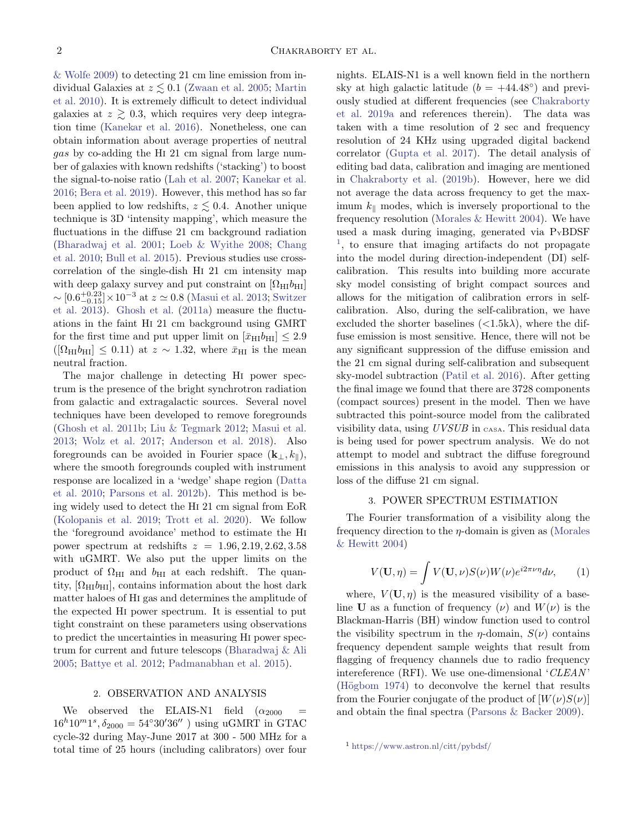[& Wolfe](#page-6-0) [2009\)](#page-6-0) to detecting 21 cm line emission from individual Galaxies at  $z \lesssim 0.1$  [\(Zwaan et al.](#page-6-1) [2005;](#page-6-1) [Martin](#page-5-4) [et al.](#page-5-4) [2010\)](#page-5-4). It is extremely difficult to detect individual galaxies at  $z \geq 0.3$ , which requires very deep integration time [\(Kanekar et al.](#page-5-5) [2016\)](#page-5-5). Nonetheless, one can obtain information about average properties of neutral gas by co-adding the Hi 21 cm signal from large number of galaxies with known redshifts ('stacking') to boost the signal-to-noise ratio [\(Lah et al.](#page-5-6) [2007;](#page-5-6) [Kanekar et al.](#page-5-5) [2016;](#page-5-5) [Bera et al.](#page-5-7) [2019\)](#page-5-7). However, this method has so far been applied to low redshifts,  $z \lesssim 0.4$ . Another unique technique is 3D 'intensity mapping', which measure the fluctuations in the diffuse 21 cm background radiation [\(Bharadwaj et al.](#page-5-8) [2001;](#page-5-8) [Loeb & Wyithe](#page-5-9) [2008;](#page-5-9) [Chang](#page-5-10) [et al.](#page-5-10) [2010;](#page-5-10) [Bull et al.](#page-5-1) [2015\)](#page-5-1). Previous studies use crosscorrelation of the single-dish Hi 21 cm intensity map with deep galaxy survey and put constraint on  $[\Omega_{\rm HI}b_{\rm HI}]$  $\sim [0.6_{-0.15}^{+0.23}] \times 10^{-3}$  at  $z \simeq 0.8$  [\(Masui et al.](#page-5-11) [2013;](#page-5-11) [Switzer](#page-6-2) [et al.](#page-6-2) [2013\)](#page-6-2). [Ghosh et al.](#page-5-12) [\(2011a\)](#page-5-12) measure the fluctuations in the faint Hi 21 cm background using GMRT for the first time and put upper limit on  $[\bar{x}_{\text{HI}}b_{\text{HI}}] \leq 2.9$  $([\Omega_{\text{HI}}b_{\text{HI}}] \leq 0.11)$  at  $z \sim 1.32$ , where  $\bar{x}_{\text{HI}}$  is the mean neutral fraction.

The major challenge in detecting Hi power spectrum is the presence of the bright synchrotron radiation from galactic and extragalactic sources. Several novel techniques have been developed to remove foregrounds [\(Ghosh et al.](#page-5-13) [2011b;](#page-5-13) [Liu & Tegmark](#page-5-14) [2012;](#page-5-14) [Masui et al.](#page-5-11) [2013;](#page-5-11) [Wolz et al.](#page-6-3) [2017;](#page-6-3) [Anderson et al.](#page-5-15) [2018\)](#page-5-15). Also foregrounds can be avoided in Fourier space  $(\mathbf{k}_{\perp}, k_{\parallel}),$ where the smooth foregrounds coupled with instrument response are localized in a 'wedge' shape region [\(Datta](#page-5-16) [et al.](#page-5-16) [2010;](#page-5-16) [Parsons et al.](#page-6-4) [2012b\)](#page-6-4). This method is being widely used to detect the Hi 21 cm signal from EoR [\(Kolopanis et al.](#page-5-17) [2019;](#page-5-17) [Trott et al.](#page-6-5) [2020\)](#page-6-5). We follow the 'foreground avoidance' method to estimate the Hi power spectrum at redshifts  $z = 1.96, 2.19, 2.62, 3.58$ with uGMRT. We also put the upper limits on the product of  $\Omega_{\rm HI}$  and  $b_{\rm HI}$  at each redshift. The quantity,  $[\Omega_{\text{HI}}b_{\text{HI}}]$ , contains information about the host dark matter haloes of Hi gas and determines the amplitude of the expected Hi power spectrum. It is essential to put tight constraint on these parameters using observations to predict the uncertainties in measuring Hi power spectrum for current and future telescops [\(Bharadwaj & Ali](#page-5-18) [2005;](#page-5-18) [Battye et al.](#page-5-19) [2012;](#page-5-19) [Padmanabhan et al.](#page-6-6) [2015\)](#page-6-6).

#### 2. OBSERVATION AND ANALYSIS

We observed the ELAIS-N1 field  $(\alpha_{2000}$  $16^{h}10^{m}1^{s}, \delta_{2000} = 54^{\circ}30'36''$  ) using uGMRT in GTAC cycle-32 during May-June 2017 at 300 - 500 MHz for a total time of 25 hours (including calibrators) over four

nights. ELAIS-N1 is a well known field in the northern sky at high galactic latitude  $(b = +44.48°)$  and previously studied at different frequencies (see [Chakraborty](#page-5-20) [et al.](#page-5-20) [2019a](#page-5-20) and references therein). The data was taken with a time resolution of 2 sec and frequency resolution of 24 KHz using upgraded digital backend correlator [\(Gupta et al.](#page-5-21) [2017\)](#page-5-21). The detail analysis of editing bad data, calibration and imaging are mentioned in [Chakraborty et al.](#page-5-22) [\(2019b\)](#page-5-22). However, here we did not average the data across frequency to get the maximum  $k_{\parallel}$  modes, which is inversely proportional to the frequency resolution [\(Morales & Hewitt](#page-6-7) [2004\)](#page-6-7). We have used a mask during imaging, generated via  $P_{Y}B$ DSF <sup>[1](#page-1-0)</sup>, to ensure that imaging artifacts do not propagate into the model during direction-independent (DI) selfcalibration. This results into building more accurate sky model consisting of bright compact sources and allows for the mitigation of calibration errors in selfcalibration. Also, during the self-calibration, we have excluded the shorter baselines  $\left( \langle 1.5 \mathbf{k} \lambda \rangle \right)$ , where the diffuse emission is most sensitive. Hence, there will not be any significant suppression of the diffuse emission and the 21 cm signal during self-calibration and subsequent sky-model subtraction [\(Patil et al.](#page-6-8) [2016\)](#page-6-8). After getting the final image we found that there are 3728 components (compact sources) present in the model. Then we have subtracted this point-source model from the calibrated visibility data, using UVSUB in CASA. This residual data is being used for power spectrum analysis. We do not attempt to model and subtract the diffuse foreground emissions in this analysis to avoid any suppression or loss of the diffuse 21 cm signal.

#### 3. POWER SPECTRUM ESTIMATION

The Fourier transformation of a visibility along the frequency direction to the  $\eta$ -domain is given as [\(Morales](#page-6-7) [& Hewitt](#page-6-7) [2004\)](#page-6-7)

$$
V(\mathbf{U}, \eta) = \int V(\mathbf{U}, \nu) S(\nu) W(\nu) e^{i2\pi\nu\eta} d\nu, \qquad (1)
$$

where,  $V(\mathbf{U}, \eta)$  is the measured visibility of a baseline **U** as a function of frequency  $(\nu)$  and  $W(\nu)$  is the Blackman-Harris (BH) window function used to control the visibility spectrum in the  $\eta$ -domain,  $S(\nu)$  contains frequency dependent sample weights that result from flagging of frequency channels due to radio frequency intereference (RFI). We use one-dimensional 'CLEAN ' (Högbom [1974\)](#page-5-23) to deconvolve the kernel that results from the Fourier conjugate of the product of  $[W(\nu)S(\nu)]$ and obtain the final spectra [\(Parsons & Backer](#page-6-9) [2009\)](#page-6-9).

<span id="page-1-0"></span><sup>1</sup> <https://www.astron.nl/citt/pybdsf/>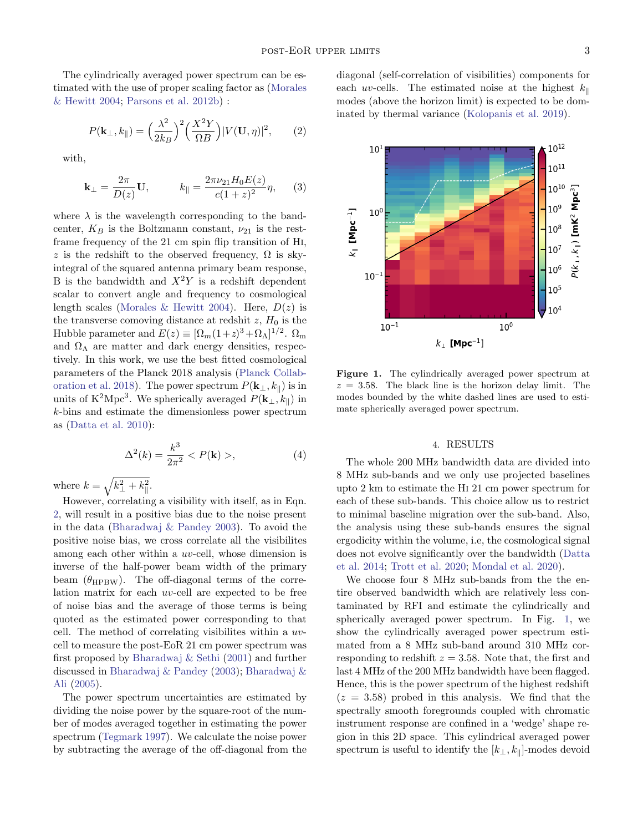The cylindrically averaged power spectrum can be estimated with the use of proper scaling factor as [\(Morales](#page-6-7) [& Hewitt](#page-6-7) [2004;](#page-6-7) [Parsons et al.](#page-6-4) [2012b\)](#page-6-4) :

$$
P(\mathbf{k}_{\perp}, k_{\parallel}) = \left(\frac{\lambda^2}{2k_B}\right)^2 \left(\frac{X^2 Y}{\Omega B}\right) |V(\mathbf{U}, \eta)|^2, \qquad (2)
$$

with,

$$
\mathbf{k}_{\perp} = \frac{2\pi}{D(z)} \mathbf{U}, \qquad k_{\parallel} = \frac{2\pi\nu_{21} H_0 E(z)}{c(1+z)^2} \eta, \qquad (3)
$$

where  $\lambda$  is the wavelength corresponding to the bandcenter,  $K_B$  is the Boltzmann constant,  $\nu_{21}$  is the restframe frequency of the 21 cm spin flip transition of Hi, z is the redshift to the observed frequency,  $\Omega$  is skyintegral of the squared antenna primary beam response, B is the bandwidth and  $X^2Y$  is a redshift dependent scalar to convert angle and frequency to cosmological length scales [\(Morales & Hewitt](#page-6-7) [2004\)](#page-6-7). Here,  $D(z)$  is the transverse comoving distance at redshit  $z$ ,  $H_0$  is the Hubble parameter and  $E(z) \equiv [\Omega_m(1+z)^3 + \Omega_{\Lambda}]^{1/2}$ .  $\Omega_m$ and  $\Omega_{\Lambda}$  are matter and dark energy densities, respectively. In this work, we use the best fitted cosmological parameters of the Planck 2018 analysis [\(Planck Collab](#page-6-10)[oration et al.](#page-6-10) [2018\)](#page-6-10). The power spectrum  $P(\mathbf{k}_{\perp}, k_{\parallel})$  is in units of K<sup>2</sup>Mpc<sup>3</sup>. We spherically averaged  $P(\mathbf{k}_{\perp}, k_{\parallel})$  in k-bins and estimate the dimensionless power spectrum as [\(Datta et al.](#page-5-16) [2010\)](#page-5-16):

$$
\Delta^{2}(k) = \frac{k^{3}}{2\pi^{2}} < P(\mathbf{k}) >,
$$
\n(4)

where  $k = \sqrt{k_{\perp}^2 + k_{\parallel}^2}$ .

However, correlating a visibility with itself, as in Eqn. [2,](#page-2-0) will result in a positive bias due to the noise present in the data [\(Bharadwaj & Pandey](#page-5-24) [2003\)](#page-5-24). To avoid the positive noise bias, we cross correlate all the visibilites among each other within a uv-cell, whose dimension is inverse of the half-power beam width of the primary beam  $(\theta_{HPBW})$ . The off-diagonal terms of the correlation matrix for each uv-cell are expected to be free of noise bias and the average of those terms is being quoted as the estimated power corresponding to that cell. The method of correlating visibilites within a uvcell to measure the post-EoR 21 cm power spectrum was first proposed by [Bharadwaj & Sethi](#page-5-25) [\(2001\)](#page-5-25) and further discussed in [Bharadwaj & Pandey](#page-5-24) [\(2003\)](#page-5-24); [Bharadwaj &](#page-5-18) [Ali](#page-5-18) [\(2005\)](#page-5-18).

The power spectrum uncertainties are estimated by dividing the noise power by the square-root of the number of modes averaged together in estimating the power spectrum [\(Tegmark](#page-6-11) [1997\)](#page-6-11). We calculate the noise power by subtracting the average of the off-diagonal from the <span id="page-2-0"></span>diagonal (self-correlation of visibilities) components for each uv-cells. The estimated noise at the highest  $k_{\parallel}$ modes (above the horizon limit) is expected to be dominated by thermal variance [\(Kolopanis et al.](#page-5-17) [2019\)](#page-5-17).



<span id="page-2-1"></span>Figure 1. The cylindrically averaged power spectrum at  $z = 3.58$ . The black line is the horizon delay limit. The modes bounded by the white dashed lines are used to estimate spherically averaged power spectrum.

### 4. RESULTS

The whole 200 MHz bandwidth data are divided into 8 MHz sub-bands and we only use projected baselines upto 2 km to estimate the Hi 21 cm power spectrum for each of these sub-bands. This choice allow us to restrict to minimal baseline migration over the sub-band. Also, the analysis using these sub-bands ensures the signal ergodicity within the volume, i.e, the cosmological signal does not evolve significantly over the bandwidth [\(Datta](#page-5-26) [et al.](#page-5-26) [2014;](#page-5-26) [Trott et al.](#page-6-5) [2020;](#page-6-5) [Mondal et al.](#page-5-27) [2020\)](#page-5-27).

We choose four 8 MHz sub-bands from the the entire observed bandwidth which are relatively less contaminated by RFI and estimate the cylindrically and spherically averaged power spectrum. In Fig. [1,](#page-2-1) we show the cylindrically averaged power spectrum estimated from a 8 MHz sub-band around 310 MHz corresponding to redshift  $z = 3.58$ . Note that, the first and last 4 MHz of the 200 MHz bandwidth have been flagged. Hence, this is the power spectrum of the highest redshift  $(z = 3.58)$  probed in this analysis. We find that the spectrally smooth foregrounds coupled with chromatic instrument response are confined in a 'wedge' shape region in this 2D space. This cylindrical averaged power spectrum is useful to identify the  $[k_{\perp}, k_{\parallel}]$ -modes devoid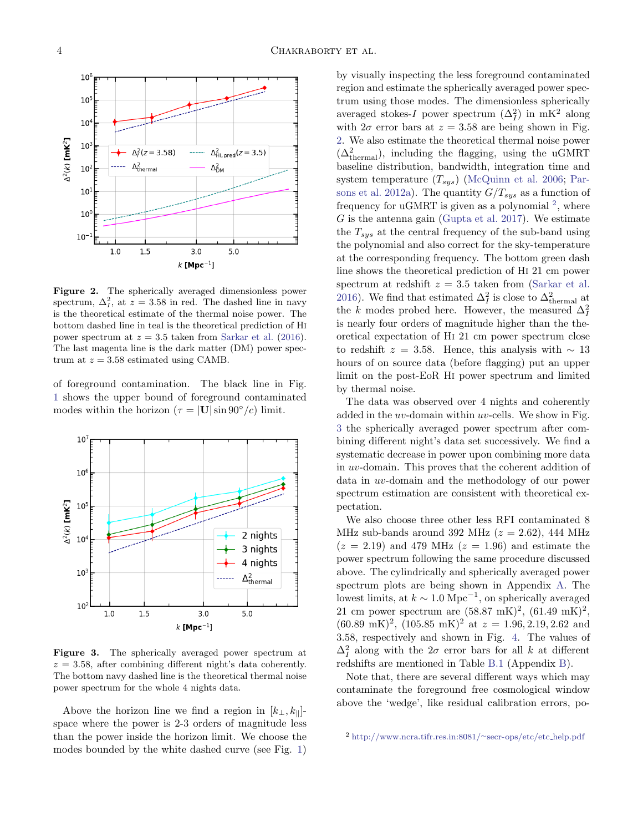

<span id="page-3-0"></span>Figure 2. The spherically averaged dimensionless power spectrum,  $\Delta_I^2$ , at  $z = 3.58$  in red. The dashed line in navy is the theoretical estimate of the thermal noise power. The bottom dashed line in teal is the theoretical prediction of Hi power spectrum at  $z = 3.5$  taken from [Sarkar et al.](#page-6-12) [\(2016\)](#page-6-12). The last magenta line is the dark matter (DM) power spectrum at  $z = 3.58$  estimated using CAMB.

of foreground contamination. The black line in Fig. [1](#page-2-1) shows the upper bound of foreground contaminated modes within the horizon ( $\tau = |{\bf U}|\sin 90^{\circ}/c$ ) limit.



<span id="page-3-2"></span>Figure 3. The spherically averaged power spectrum at  $z = 3.58$ , after combining different night's data coherently. The bottom navy dashed line is the theoretical thermal noise power spectrum for the whole 4 nights data.

Above the horizon line we find a region in  $[k_{\perp}, k_{\parallel}]$ space where the power is 2-3 orders of magnitude less than the power inside the horizon limit. We choose the modes bounded by the white dashed curve (see Fig. [1\)](#page-2-1) by visually inspecting the less foreground contaminated region and estimate the spherically averaged power spectrum using those modes. The dimensionless spherically averaged stokes-I power spectrum  $(\Delta_I^2)$  in mK<sup>2</sup> along with  $2\sigma$  error bars at  $z = 3.58$  are being shown in Fig. [2.](#page-3-0) We also estimate the theoretical thermal noise power  $(\Delta^2_{\mathrm{thermal}})$ , including the flagging, using the uGMRT baseline distribution, bandwidth, integration time and system temperature  $(T_{sys})$  [\(McQuinn et al.](#page-5-28) [2006;](#page-5-28) [Par](#page-6-13)[sons et al.](#page-6-13) [2012a\)](#page-6-13). The quantity  $G/T_{sys}$  as a function of frequency for uGMRT is given as a polynomial  $^2$  $^2$ , where  $G$  is the antenna gain [\(Gupta et al.](#page-5-21) [2017\)](#page-5-21). We estimate the  $T_{sys}$  at the central frequency of the sub-band using the polynomial and also correct for the sky-temperature at the corresponding frequency. The bottom green dash line shows the theoretical prediction of Hi 21 cm power spectrum at redshift  $z = 3.5$  taken from [\(Sarkar et al.](#page-6-12) [2016\)](#page-6-12). We find that estimated  $\Delta_I^2$  is close to  $\Delta_{\text{thermal}}^2$  at the k modes probed here. However, the measured  $\Delta_I^2$ is nearly four orders of magnitude higher than the theoretical expectation of Hi 21 cm power spectrum close to redshift  $z = 3.58$ . Hence, this analysis with ~ 13 hours of on source data (before flagging) put an upper limit on the post-EoR Hi power spectrum and limited by thermal noise.

The data was observed over 4 nights and coherently added in the  $uv$ -domain within  $uv$ -cells. We show in Fig. [3](#page-3-2) the spherically averaged power spectrum after combining different night's data set successively. We find a systematic decrease in power upon combining more data in uv-domain. This proves that the coherent addition of data in uv-domain and the methodology of our power spectrum estimation are consistent with theoretical expectation.

We also choose three other less RFI contaminated 8 MHz sub-bands around 392 MHz  $(z = 2.62)$ , 444 MHz  $(z = 2.19)$  and 479 MHz  $(z = 1.96)$  and estimate the power spectrum following the same procedure discussed above. The cylindrically and spherically averaged power spectrum plots are being shown in Appendix [A.](#page-7-0) The lowest limits, at  $k \sim 1.0 \text{ Mpc}^{-1}$ , on spherically averaged 21 cm power spectrum are  $(58.87 \text{ mK})^2$ ,  $(61.49 \text{ mK})^2$ ,  $(60.89 \text{ mK})^2$ ,  $(105.85 \text{ mK})^2$  at  $z = 1.96, 2.19, 2.62$  and 3.58, respectively and shown in Fig. [4.](#page-4-0) The values of  $\Delta_I^2$  along with the  $2\sigma$  error bars for all k at different redshifts are mentioned in Table [B.1](#page-8-0) (Appendix [B\)](#page-7-1).

Note that, there are several different ways which may contaminate the foreground free cosmological window above the 'wedge', like residual calibration errors, po-

<span id="page-3-1"></span><sup>2</sup> [http://www.ncra.tifr.res.in:8081/](http://www.ncra.tifr.res.in:8081/~secr-ops/etc/etc_help.pdf)∼secr-ops/etc/etc help.pdf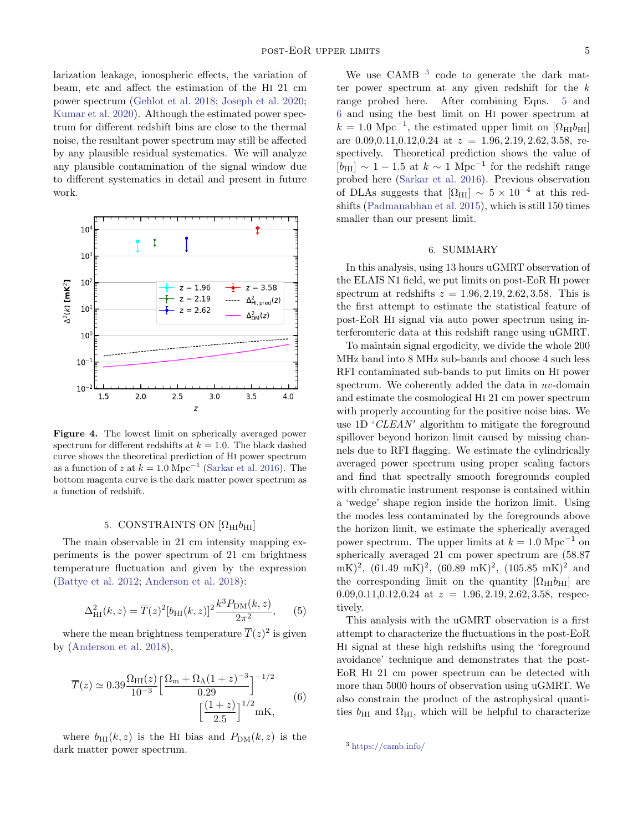larization leakage, ionospheric effects, the variation of beam, etc and affect the estimation of the Hi 21 cm power spectrum [\(Gehlot et al.](#page-5-29) [2018;](#page-5-29) [Joseph et al.](#page-5-30) [2020;](#page-5-30) [Kumar et al.](#page-5-31) [2020\)](#page-5-31). Although the estimated power spectrum for different redshift bins are close to the thermal noise, the resultant power spectrum may still be affected by any plausible residual systematics. We will analyze any plausible contamination of the signal window due to different systematics in detail and present in future work.



<span id="page-4-0"></span>Figure 4. The lowest limit on spherically averaged power spectrum for different redshifts at  $k = 1.0$ . The black dashed curve shows the theoretical prediction of Hi power spectrum as a function of z at  $k = 1.0 \text{ Mpc}^{-1}$  [\(Sarkar et al.](#page-6-12) [2016\)](#page-6-12). The bottom magenta curve is the dark matter power spectrum as a function of redshift.

### 5. CONSTRAINTS ON  $[\Omega_{HI}b_{HI}]$

The main observable in 21 cm intensity mapping experiments is the power spectrum of 21 cm brightness temperature fluctuation and given by the expression [\(Battye et al.](#page-5-19) [2012;](#page-5-19) [Anderson et al.](#page-5-15) [2018\)](#page-5-15):

<span id="page-4-2"></span>
$$
\Delta_{\rm HI}^2(k,z) = \overline{T}(z)^2 [b_{\rm HI}(k,z)]^2 \frac{k^3 P_{\rm DM}(k,z)}{2\pi^2},\qquad(5)
$$

<span id="page-4-3"></span>where the mean brightness temperature  $\overline{T}(z)^2$  is given by [\(Anderson et al.](#page-5-15) [2018\)](#page-5-15),

$$
\overline{T}(z) \simeq 0.39 \frac{\Omega_{\rm HI}(z)}{10^{-3}} \left[ \frac{\Omega_{\rm m} + \Omega_{\Lambda} (1+z)^{-3}}{0.29} \right]^{-1/2} \tag{6}
$$
\n
$$
\left[ \frac{(1+z)}{2.5} \right]^{1/2} \rm mK,
$$

where  $b_{\text{HI}}(k, z)$  is the H<sub>I</sub> bias and  $P_{\text{DM}}(k, z)$  is the dark matter power spectrum.

We use CAMB <sup>[3](#page-4-1)</sup> code to generate the dark matter power spectrum at any given redshift for the  $k$ range probed here. After combining Eqns. [5](#page-4-2) and [6](#page-4-3) and using the best limit on Hi power spectrum at  $k = 1.0 \text{ Mpc}^{-1}$ , the estimated upper limit on  $[\Omega_{\text{HI}}b_{\text{HI}}]$ are  $0.09, 0.11, 0.12, 0.24$  at  $z = 1.96, 2.19, 2.62, 3.58$ , respectively. Theoretical prediction shows the value of [ $b_{\text{HI}}$ ] ~ 1 − 1.5 at  $k \sim 1 \text{ Mpc}^{-1}$  for the redshift range probed here [\(Sarkar et al.](#page-6-12) [2016\)](#page-6-12). Previous observation of DLAs suggests that  $[\Omega_{\text{HI}}] \sim 5 \times 10^{-4}$  at this redshifts [\(Padmanabhan et al.](#page-6-6) [2015\)](#page-6-6), which is still 150 times smaller than our present limit.

#### 6. SUMMARY

In this analysis, using 13 hours uGMRT observation of the ELAIS N1 field, we put limits on post-EoR Hi power spectrum at redshifts  $z = 1.96, 2.19, 2.62, 3.58$ . This is the first attempt to estimate the statistical feature of post-EoR Hi signal via auto power spectrum using interferomteric data at this redshift range using uGMRT.

To maintain signal ergodicity, we divide the whole 200 MHz band into 8 MHz sub-bands and choose 4 such less RFI contaminated sub-bands to put limits on Hi power spectrum. We coherently added the data in uv-domain and estimate the cosmological Hi 21 cm power spectrum with properly accounting for the positive noise bias. We use 1D  $CLEAN'$  algorithm to mitigate the foreground spillover beyond horizon limit caused by missing channels due to RFI flagging. We estimate the cylindrically averaged power spectrum using proper scaling factors and find that spectrally smooth foregrounds coupled with chromatic instrument response is contained within a 'wedge' shape region inside the horizon limit. Using the modes less contaminated by the foregrounds above the horizon limit, we estimate the spherically averaged power spectrum. The upper limits at  $k = 1.0$  Mpc<sup>-1</sup> on spherically averaged 21 cm power spectrum are (58.87  $(mK)^2$ ,  $(61.49 \text{ mK})^2$ ,  $(60.89 \text{ mK})^2$ ,  $(105.85 \text{ mK})^2$  and the corresponding limit on the quantity  $[\Omega_{\text{H}}]$  are 0.09,0.11,0.12,0.24 at  $z = 1.96, 2.19, 2.62, 3.58$ , respectively.

This analysis with the uGMRT observation is a first attempt to characterize the fluctuations in the post-EoR Hi signal at these high redshifts using the 'foreground avoidance' technique and demonstrates that the post-EoR Hi 21 cm power spectrum can be detected with more than 5000 hours of observation using uGMRT. We also constrain the product of the astrophysical quantities  $b_{\text{HI}}$  and  $\Omega_{\text{HI}}$ , which will be helpful to characterize

<span id="page-4-1"></span><sup>3</sup> <https://camb.info/>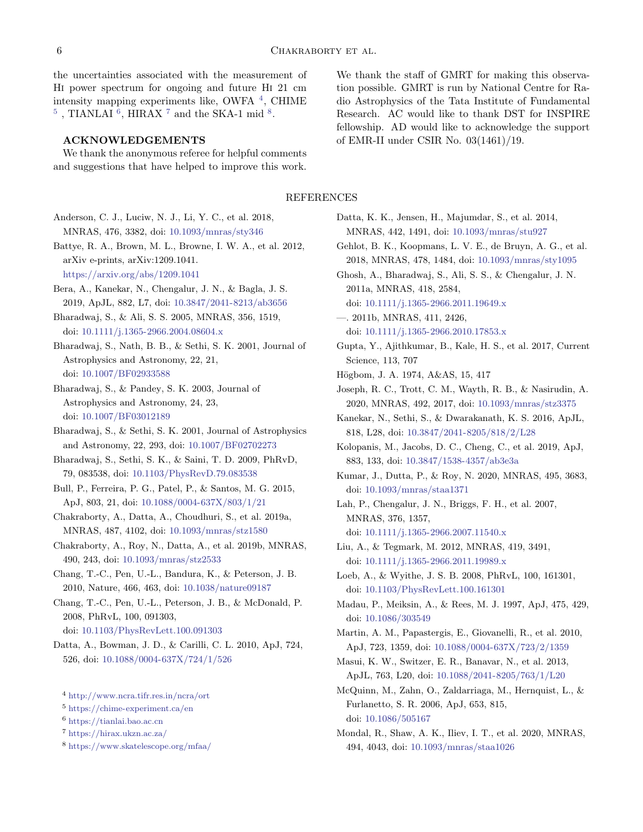the uncertainties associated with the measurement of Hi power spectrum for ongoing and future Hi 21 cm intensity mapping experiments like, OWFA [4](#page-5-32) , CHIME  $^5$  $^5$  , TIANLAI  $^6,$  $^6,$  $^6,$  HIRAX  $^7$  $^7$  and the SKA-1 mid  $^8.$  $^8.$  $^8.$ 

### ACKNOWLEDGEMENTS

We thank the anonymous referee for helpful comments and suggestions that have helped to improve this work.

We thank the staff of GMRT for making this observation possible. GMRT is run by National Centre for Radio Astrophysics of the Tata Institute of Fundamental Research. AC would like to thank DST for INSPIRE fellowship. AD would like to acknowledge the support of EMR-II under CSIR No. 03(1461)/19.

## REFERENCES

- <span id="page-5-15"></span>Anderson, C. J., Luciw, N. J., Li, Y. C., et al. 2018, MNRAS, 476, 3382, doi: [10.1093/mnras/sty346](http://doi.org/10.1093/mnras/sty346)
- <span id="page-5-19"></span>Battye, R. A., Brown, M. L., Browne, I. W. A., et al. 2012, arXiv e-prints, arXiv:1209.1041.

<https://arxiv.org/abs/1209.1041>

- <span id="page-5-7"></span>Bera, A., Kanekar, N., Chengalur, J. N., & Bagla, J. S. 2019, ApJL, 882, L7, doi: [10.3847/2041-8213/ab3656](http://doi.org/10.3847/2041-8213/ab3656)
- <span id="page-5-18"></span>Bharadwaj, S., & Ali, S. S. 2005, MNRAS, 356, 1519, doi: [10.1111/j.1365-2966.2004.08604.x](http://doi.org/10.1111/j.1365-2966.2004.08604.x)
- <span id="page-5-8"></span>Bharadwaj, S., Nath, B. B., & Sethi, S. K. 2001, Journal of Astrophysics and Astronomy, 22, 21, doi: [10.1007/BF02933588](http://doi.org/10.1007/BF02933588)
- <span id="page-5-24"></span>Bharadwaj, S., & Pandey, S. K. 2003, Journal of Astrophysics and Astronomy, 24, 23, doi: [10.1007/BF03012189](http://doi.org/10.1007/BF03012189)
- <span id="page-5-25"></span>Bharadwaj, S., & Sethi, S. K. 2001, Journal of Astrophysics and Astronomy, 22, 293, doi: [10.1007/BF02702273](http://doi.org/10.1007/BF02702273)
- <span id="page-5-3"></span>Bharadwaj, S., Sethi, S. K., & Saini, T. D. 2009, PhRvD, 79, 083538, doi: [10.1103/PhysRevD.79.083538](http://doi.org/10.1103/PhysRevD.79.083538)
- <span id="page-5-1"></span>Bull, P., Ferreira, P. G., Patel, P., & Santos, M. G. 2015, ApJ, 803, 21, doi: [10.1088/0004-637X/803/1/21](http://doi.org/10.1088/0004-637X/803/1/21)
- <span id="page-5-20"></span>Chakraborty, A., Datta, A., Choudhuri, S., et al. 2019a, MNRAS, 487, 4102, doi: [10.1093/mnras/stz1580](http://doi.org/10.1093/mnras/stz1580)
- <span id="page-5-22"></span>Chakraborty, A., Roy, N., Datta, A., et al. 2019b, MNRAS, 490, 243, doi: [10.1093/mnras/stz2533](http://doi.org/10.1093/mnras/stz2533)
- <span id="page-5-10"></span>Chang, T.-C., Pen, U.-L., Bandura, K., & Peterson, J. B. 2010, Nature, 466, 463, doi: [10.1038/nature09187](http://doi.org/10.1038/nature09187)
- <span id="page-5-2"></span>Chang, T.-C., Pen, U.-L., Peterson, J. B., & McDonald, P. 2008, PhRvL, 100, 091303,
	- doi: [10.1103/PhysRevLett.100.091303](http://doi.org/10.1103/PhysRevLett.100.091303)
- <span id="page-5-16"></span>Datta, A., Bowman, J. D., & Carilli, C. L. 2010, ApJ, 724, 526, doi: [10.1088/0004-637X/724/1/526](http://doi.org/10.1088/0004-637X/724/1/526)
- <span id="page-5-32"></span><sup>4</sup> <http://www.ncra.tifr.res.in/ncra/ort>
- <span id="page-5-33"></span><sup>5</sup> <https://chime-experiment.ca/en>
- <span id="page-5-34"></span><sup>6</sup> <https://tianlai.bao.ac.cn>
- <span id="page-5-35"></span><sup>7</sup> <https://hirax.ukzn.ac.za/>
- <span id="page-5-36"></span><sup>8</sup> <https://www.skatelescope.org/mfaa/>
- <span id="page-5-26"></span>Datta, K. K., Jensen, H., Majumdar, S., et al. 2014, MNRAS, 442, 1491, doi: [10.1093/mnras/stu927](http://doi.org/10.1093/mnras/stu927)
- <span id="page-5-29"></span>Gehlot, B. K., Koopmans, L. V. E., de Bruyn, A. G., et al. 2018, MNRAS, 478, 1484, doi: [10.1093/mnras/sty1095](http://doi.org/10.1093/mnras/sty1095)
- <span id="page-5-12"></span>Ghosh, A., Bharadwaj, S., Ali, S. S., & Chengalur, J. N. 2011a, MNRAS, 418, 2584,
	- doi: [10.1111/j.1365-2966.2011.19649.x](http://doi.org/10.1111/j.1365-2966.2011.19649.x)
- <span id="page-5-13"></span>—. 2011b, MNRAS, 411, 2426,
- doi: [10.1111/j.1365-2966.2010.17853.x](http://doi.org/10.1111/j.1365-2966.2010.17853.x)
- <span id="page-5-21"></span>Gupta, Y., Ajithkumar, B., Kale, H. S., et al. 2017, Current Science, 113, 707
- <span id="page-5-23"></span>Högbom, J. A. 1974, A&AS, 15, 417
- <span id="page-5-30"></span>Joseph, R. C., Trott, C. M., Wayth, R. B., & Nasirudin, A. 2020, MNRAS, 492, 2017, doi: [10.1093/mnras/stz3375](http://doi.org/10.1093/mnras/stz3375)
- <span id="page-5-5"></span>Kanekar, N., Sethi, S., & Dwarakanath, K. S. 2016, ApJL, 818, L28, doi: [10.3847/2041-8205/818/2/L28](http://doi.org/10.3847/2041-8205/818/2/L28)
- <span id="page-5-17"></span>Kolopanis, M., Jacobs, D. C., Cheng, C., et al. 2019, ApJ, 883, 133, doi: [10.3847/1538-4357/ab3e3a](http://doi.org/10.3847/1538-4357/ab3e3a)
- <span id="page-5-31"></span>Kumar, J., Dutta, P., & Roy, N. 2020, MNRAS, 495, 3683, doi: [10.1093/mnras/staa1371](http://doi.org/10.1093/mnras/staa1371)
- <span id="page-5-6"></span>Lah, P., Chengalur, J. N., Briggs, F. H., et al. 2007, MNRAS, 376, 1357, doi: [10.1111/j.1365-2966.2007.11540.x](http://doi.org/10.1111/j.1365-2966.2007.11540.x)
- <span id="page-5-14"></span>Liu, A., & Tegmark, M. 2012, MNRAS, 419, 3491, doi: [10.1111/j.1365-2966.2011.19989.x](http://doi.org/10.1111/j.1365-2966.2011.19989.x)
- <span id="page-5-9"></span>Loeb, A., & Wyithe, J. S. B. 2008, PhRvL, 100, 161301, doi: [10.1103/PhysRevLett.100.161301](http://doi.org/10.1103/PhysRevLett.100.161301)
- <span id="page-5-0"></span>Madau, P., Meiksin, A., & Rees, M. J. 1997, ApJ, 475, 429, doi: [10.1086/303549](http://doi.org/10.1086/303549)
- <span id="page-5-4"></span>Martin, A. M., Papastergis, E., Giovanelli, R., et al. 2010, ApJ, 723, 1359, doi: [10.1088/0004-637X/723/2/1359](http://doi.org/10.1088/0004-637X/723/2/1359)
- <span id="page-5-11"></span>Masui, K. W., Switzer, E. R., Banavar, N., et al. 2013, ApJL, 763, L20, doi: [10.1088/2041-8205/763/1/L20](http://doi.org/10.1088/2041-8205/763/1/L20)
- <span id="page-5-28"></span>McQuinn, M., Zahn, O., Zaldarriaga, M., Hernquist, L., & Furlanetto, S. R. 2006, ApJ, 653, 815, doi: [10.1086/505167](http://doi.org/10.1086/505167)
- <span id="page-5-27"></span>Mondal, R., Shaw, A. K., Iliev, I. T., et al. 2020, MNRAS, 494, 4043, doi: [10.1093/mnras/staa1026](http://doi.org/10.1093/mnras/staa1026)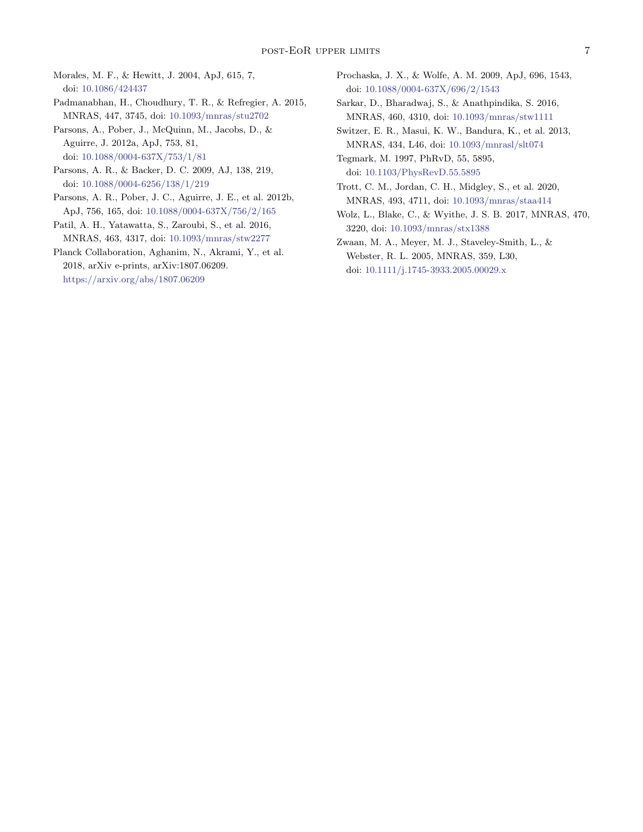<span id="page-6-7"></span>Morales, M. F., & Hewitt, J. 2004, ApJ, 615, 7, doi: [10.1086/424437](http://doi.org/10.1086/424437)

<span id="page-6-6"></span>Padmanabhan, H., Choudhury, T. R., & Refregier, A. 2015, MNRAS, 447, 3745, doi: [10.1093/mnras/stu2702](http://doi.org/10.1093/mnras/stu2702)

<span id="page-6-13"></span>Parsons, A., Pober, J., McQuinn, M., Jacobs, D., & Aguirre, J. 2012a, ApJ, 753, 81, doi: [10.1088/0004-637X/753/1/81](http://doi.org/10.1088/0004-637X/753/1/81)

- <span id="page-6-9"></span>Parsons, A. R., & Backer, D. C. 2009, AJ, 138, 219, doi: [10.1088/0004-6256/138/1/219](http://doi.org/10.1088/0004-6256/138/1/219)
- <span id="page-6-4"></span>Parsons, A. R., Pober, J. C., Aguirre, J. E., et al. 2012b, ApJ, 756, 165, doi: [10.1088/0004-637X/756/2/165](http://doi.org/10.1088/0004-637X/756/2/165)
- <span id="page-6-8"></span>Patil, A. H., Yatawatta, S., Zaroubi, S., et al. 2016, MNRAS, 463, 4317, doi: [10.1093/mnras/stw2277](http://doi.org/10.1093/mnras/stw2277)

<span id="page-6-10"></span>Planck Collaboration, Aghanim, N., Akrami, Y., et al. 2018, arXiv e-prints, arXiv:1807.06209. <https://arxiv.org/abs/1807.06209>

- <span id="page-6-0"></span>Prochaska, J. X., & Wolfe, A. M. 2009, ApJ, 696, 1543, doi: [10.1088/0004-637X/696/2/1543](http://doi.org/10.1088/0004-637X/696/2/1543)
- <span id="page-6-12"></span>Sarkar, D., Bharadwaj, S., & Anathpindika, S. 2016, MNRAS, 460, 4310, doi: [10.1093/mnras/stw1111](http://doi.org/10.1093/mnras/stw1111)
- <span id="page-6-2"></span>Switzer, E. R., Masui, K. W., Bandura, K., et al. 2013, MNRAS, 434, L46, doi: [10.1093/mnrasl/slt074](http://doi.org/10.1093/mnrasl/slt074)

<span id="page-6-11"></span>Tegmark, M. 1997, PhRvD, 55, 5895, doi: [10.1103/PhysRevD.55.5895](http://doi.org/10.1103/PhysRevD.55.5895)

<span id="page-6-5"></span>Trott, C. M., Jordan, C. H., Midgley, S., et al. 2020, MNRAS, 493, 4711, doi: [10.1093/mnras/staa414](http://doi.org/10.1093/mnras/staa414)

<span id="page-6-3"></span>Wolz, L., Blake, C., & Wyithe, J. S. B. 2017, MNRAS, 470, 3220, doi: [10.1093/mnras/stx1388](http://doi.org/10.1093/mnras/stx1388)

<span id="page-6-1"></span>Zwaan, M. A., Meyer, M. J., Staveley-Smith, L., & Webster, R. L. 2005, MNRAS, 359, L30, doi: [10.1111/j.1745-3933.2005.00029.x](http://doi.org/10.1111/j.1745-3933.2005.00029.x)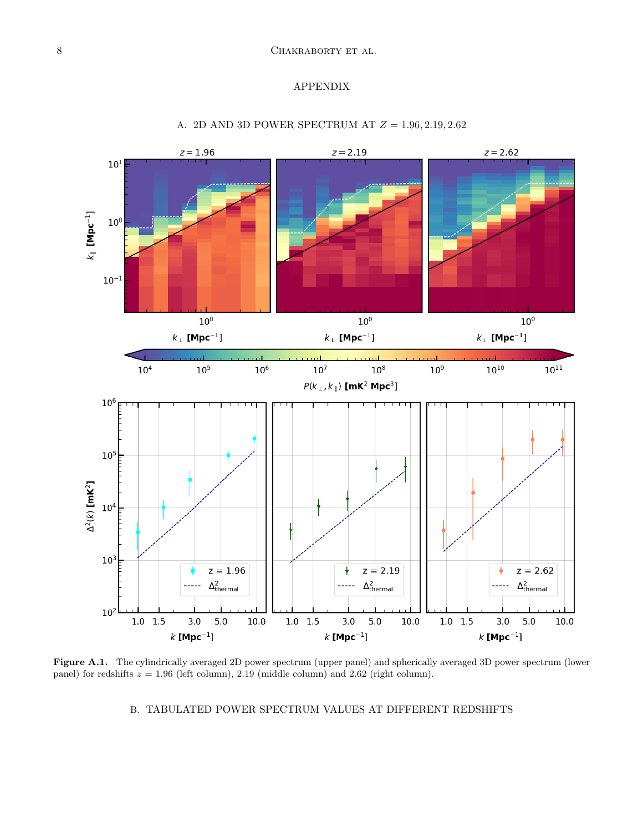# APPENDIX

<span id="page-7-0"></span>

## A. 2D AND 3D POWER SPECTRUM AT  $Z = 1.96, 2.19, 2.62$

<span id="page-7-1"></span>Figure A.1. The cylindrically averaged 2D power spectrum (upper panel) and spherically averaged 3D power spectrum (lower panel) for redshifts  $z = 1.96$  (left column), 2.19 (middle column) and 2.62 (right column).

#### B. TABULATED POWER SPECTRUM VALUES AT DIFFERENT REDSHIFTS